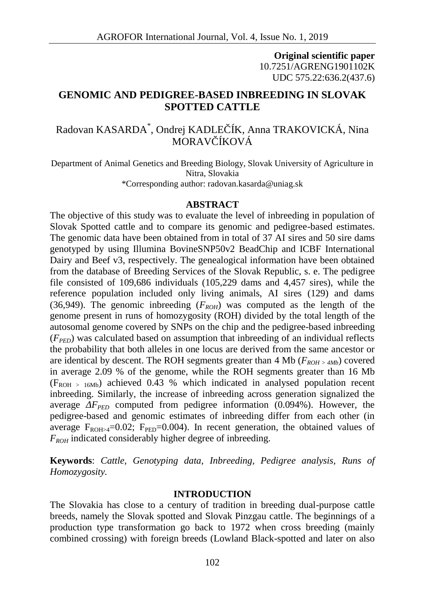**Original scientific paper** 10.7251/AGRENG1901102K UDC 575.22:636.2(437.6)

# **GENOMIC AND PEDIGREE-BASED INBREEDING IN SLOVAK SPOTTED CATTLE**

# Radovan KASARDA<sup>\*</sup>, Ondrej KADLE ÍK, Anna TRAKOVICKÁ, Nina MORAV ÍKOVÁ

Department of Animal Genetics and Breeding Biology, Slovak University of Agriculture in Nitra, Slovakia

\*Corresponding author: radovan.kasarda@uniag.sk

#### **ABSTRACT**

The objective of this study was to evaluate the level of inbreeding in population of Slovak Spotted cattle and to compare its genomic and pedigree-based estimates. The genomic data have been obtained from in total of 37 AI sires and 50 sire dams genotyped by using Illumina BovineSNP50v2 BeadChip and ICBF International Dairy and Beef v3, respectively. The genealogical information have been obtained from the database of Breeding Services of the Slovak Republic, s. e. The pedigree file consisted of 109,686 individuals (105,229 dams and 4,457 sires), while the reference population included only living animals, AI sires (129) and dams (36,949). The genomic inbreeding  $(F_{ROH})$  was computed as the length of the genome present in runs of homozygosity (ROH) divided by the total length of the autosomal genome covered by SNPs on the chip and the pedigree-based inbreeding (*FPED*) was calculated based on assumption that inbreeding of an individual reflects the probability that both alleles in one locus are derived from the same ancestor or are identical by descent. The ROH segments greater than 4 Mb (*FROH > 4Mb*) covered in average 2.09 % of the genome, while the ROH segments greater than 16 Mb  $(F_{ROH}$   $_{> 16Mb})$  achieved 0.43 % which indicated in analysed population recent inbreeding. Similarly, the increase of inbreeding across generation signalized the average *F*<sub>*PED*</sub> computed from pedigree information (0.094%). However, the pedigree-based and genomic estimates of inbreeding differ from each other (in average  $F_{\text{ROH}\rightarrow4}$ =0.02;  $F_{\text{PED}}$ =0.004). In recent generation, the obtained values of *FROH* indicated considerably higher degree of inbreeding.

**Keywords**: *Cattle, Genotyping data, Inbreeding, Pedigree analysis, Runs of Homozygosity.*

## **INTRODUCTION**

The Slovakia has close to a century of tradition in breeding dual-purpose cattle breeds, namely the Slovak spotted and Slovak Pinzgau cattle. The beginnings of a production type transformation go back to 1972 when cross breeding (mainly combined crossing) with foreign breeds (Lowland Black-spotted and later on also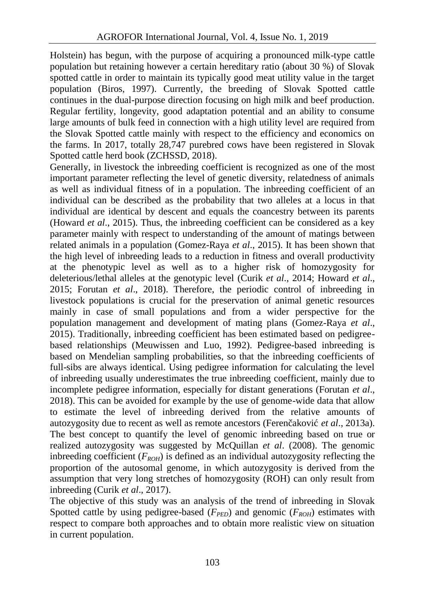Holstein) has begun, with the purpose of acquiring a pronounced milk-type cattle population but retaining however a certain hereditary ratio (about 30 %) of Slovak spotted cattle in order to maintain its typically good meat utility value in the target population (Biros, 1997). Currently, the breeding of Slovak Spotted cattle continues in the dual-purpose direction focusing on high milk and beef production. Regular fertility, longevity, good adaptation potential and an ability to consume large amounts of bulk feed in connection with a high utility level are required from the Slovak Spotted cattle mainly with respect to the efficiency and economics on the farms. In 2017, totally 28,747 purebred cows have been registered in Slovak Spotted cattle herd book (ZCHSSD, 2018).

Generally, in livestock the inbreeding coefficient is recognized as one of the most important parameter reflecting the level of genetic diversity, relatedness of animals as well as individual fitness of in a population. The inbreeding coefficient of an individual can be described as the probability that two alleles at a locus in that individual are identical by descent and equals the coancestry between its parents (Howard *et al*., 2015). Thus, the inbreeding coefficient can be considered as a key parameter mainly with respect to understanding of the amount of matings between related animals in a population (Gomez-Raya *et al*., 2015). It has been shown that the high level of inbreeding leads to a reduction in fitness and overall productivity at the phenotypic level as well as to a higher risk of homozygosity for deleterious/lethal alleles at the genotypic level (Curik *et al*., 2014; Howard *et al*., 2015; Forutan *et al*., 2018). Therefore, the periodic control of inbreeding in livestock populations is crucial for the preservation of animal genetic resources mainly in case of small populations and from a wider perspective for the population management and development of mating plans (Gomez-Raya *et al*., 2015). Traditionally, inbreeding coefficient has been estimated based on pedigree based relationships (Meuwissen and Luo, 1992). Pedigree-based inbreeding is based on Mendelian sampling probabilities, so that the inbreeding coefficients of full-sibs are always identical. Using pedigree information for calculating the level of inbreeding usually underestimates the true inbreeding coefficient, mainly due to incomplete pedigree information, especially for distant generations (Forutan *et al*., 2018). This can be avoided for example by the use of genome-wide data that allow to estimate the level of inbreeding derived from the relative amounts of autozygosity due to recent as well as remote ancestors (Feren akovi *et al.*, 2013a). The best concept to quantify the level of genomic inbreeding based on true or realized autozygosity was suggested by McQuillan *et al*. (2008). The genomic inbreeding coefficient  $(F_{ROH})$  is defined as an individual autozygosity reflecting the proportion of the autosomal genome, in which autozygosity is derived from the assumption that very long stretches of homozygosity (ROH) can only result from inbreeding (Curik *et al*., 2017).

The objective of this study was an analysis of the trend of inbreeding in Slovak Spotted cattle by using pedigree-based ( $F_{\text{PED}}$ ) and genomic ( $F_{\text{ROH}}$ ) estimates with respect to compare both approaches and to obtain more realistic view on situation in current population.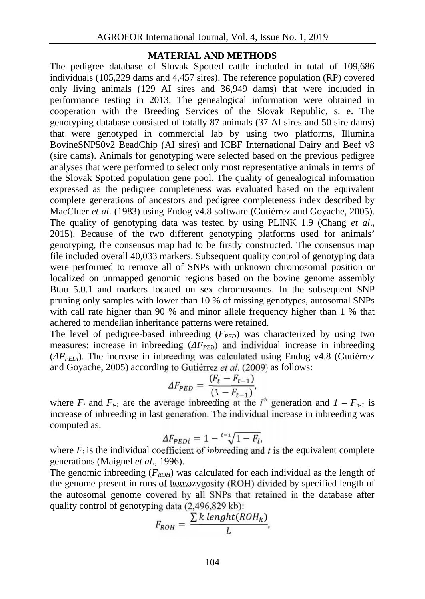## **MATERIAL AND METHODS**

The pedigree database of Slovak Spotted cattle included in total of 109,686 individuals (105,229 dams and 4,457 sires). The reference population (RP) covered only living animals (129 AI sires and 36,949 dams) that were included in performance testing in 2013. The genealogical information were obtained in cooperation with the Breeding Services of the Slovak Republic, s. e. The genotyping database consisted of totally 87 animals (37 AI sires and 50 sire dams) that were genotyped in commercial lab by using two platforms, Illumina BovineSNP50v2 BeadChip (AI sires) and ICBF International Dairy and Beef v3 (sire dams). Animals for genotyping were selected based on the previous pedigree analyses that were performed to select only most representative animals in terms of the Slovak Spotted population gene pool. The quality of genealogical information expressed as the pedigree completeness was evaluated based on the equivalent complete generations of ancestors and pedigree completeness index described by MacCluer *et al*. (1983) using Endog v4.8 software (Gutiérrez and Goyache, 2005). The quality of genotyping data was tested by using PLINK 1.9 (Chang *et al*., 2015). Because of the two different genotyping platforms used for animals' genotyping, the consensus map had to be firstly constructed. The consensus map file included overall 40,033 markers. Subsequent quality control of genotyping data were performed to remove all of SNPs with unknown chromosomal position or localized on unmapped genomic regions based on the bovine genome assembly Btau 5.0.1 and markers located on sex chromosomes. In the subsequent SNP pruning only samples with lower than 10 % of missing genotypes, autosomal SNPs with call rate higher than 90 % and minor allele frequency higher than 1 % that adhered to mendelian inheritance patterns were retained.

The level of pedigree-based inbreeding  $(F_{\text{PED}})$  was characterized by using two measures: increase in inbreeding  $(F_{\text{PED}})$  and individual increase in inbreeding ( *FPEDi*). The increase in inbreeding was calculated using Endog v4.8 (Gutiérrez and Goyache, 2005) according to Gutiérrez *et al*. (2009) as follows:

$$
\Delta F_{PED} = \frac{(F_t - F_{t-1})}{(1 - F_{t-1})},
$$

where  $F_t$  and  $F_{t-1}$  are the average inbreeding at the *i*<sup>th</sup> generation and  $I - F_{n-1}$  is increase of inbreeding in last generation. The individual increase in inbreeding was computed as:

$$
\Delta F_{PEDi} = 1 - \sqrt[t-1]{1 - F_i},
$$

where  $F_i$  is the individual coefficient of indiverseding and  $t$  is the equivalent complete generations (Maignel *et al*., 1996).

The genomic inbreeding (*FROH*) was calculated for each individual as the length of the genome present in runs of homozygosity (ROH) divided by specified length of the autosomal genome covered by all SNPs that retained in the database after quality control of genotyping data (2,496,829 kb):

$$
F_{ROH} = \frac{\sum k \ length (ROH_k)}{L},
$$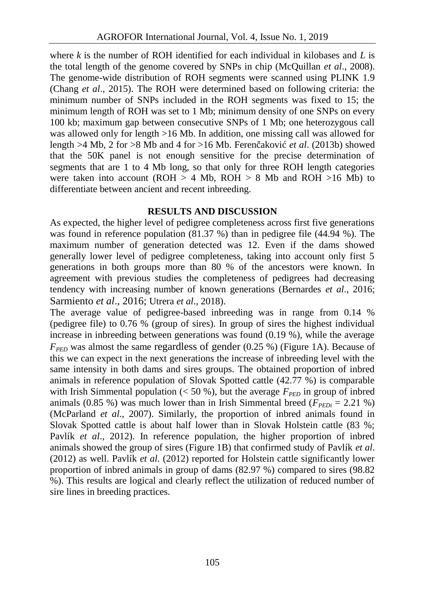where *k* is the number of ROH identified for each individual in kilobases and *L* is the total length of the genome covered by SNPs in chip (McQuillan *et al*., 2008). The genome-wide distribution of ROH segments were scanned using PLINK 1.9 (Chang *et al*., 2015). The ROH were determined based on following criteria: the minimum number of SNPs included in the ROH segments was fixed to 15; the minimum length of ROH was set to 1 Mb; minimum density of one SNPs on every 100 kb; maximum gap between consecutive SNPs of 1 Mb; one heterozygous call was allowed only for length >16 Mb. In addition, one missing call was allowed for length  $>4$  Mb, 2 for  $>8$  Mb and 4 for  $>16$  Mb. Feren akovi *et al.* (2013b) showed that the 50K panel is not enough sensitive for the precise determination of segments that are 1 to 4 Mb long, so that only for three ROH length categories were taken into account (ROH  $> 4$  Mb, ROH  $> 8$  Mb and ROH  $>16$  Mb) to differentiate between ancient and recent inbreeding.

# **RESULTS AND DISCUSSION**

As expected, the higher level of pedigree completeness across first five generations was found in reference population (81.37 %) than in pedigree file (44.94 %). The maximum number of generation detected was 12. Even if the dams showed generally lower level of pedigree completeness, taking into account only first 5 generations in both groups more than 80 % of the ancestors were known. In agreement with previous studies the completeness of pedigrees had decreasing tendency with increasing number of known generations (Bernardes *et al*., 2016; Sarmiento *et al*., 2016; Utrera *et al*., 2018).

The average value of pedigree-based inbreeding was in range from 0.14 % (pedigree file) to 0.76 % (group of sires). In group of sires the highest individual increase in inbreeding between generations was found (0.19 %), while the average  $F_{\text{PED}}$  was almost the same regardless of gender (0.25 %) (Figure 1A). Because of this we can expect in the next generations the increase of inbreeding level with the same intensity in both dams and sires groups. The obtained proportion of inbred animals in reference population of Slovak Spotted cattle (42.77 %) is comparable with Irish Simmental population ( $<$  50 %), but the average  $F_{\text{PED}}$  in group of inbred animals (0.85 %) was much lower than in Irish Simmental breed ( $F_{\text{PEDi}}$  = 2.21 %) (McParland *et al*., 2007). Similarly, the proportion of inbred animals found in Slovak Spotted cattle is about half lower than in Slovak Holstein cattle (83 %; Pavlík *et al.*, 2012). In reference population, the higher proportion of inbred animals showed the group of sires (Figure 1B) that confirmed study of Pavlík *et al*. (2012) as well. Pavlík *et al*. (2012) reported for Holstein cattle significantly lower proportion of inbred animals in group of dams (82.97 %) compared to sires (98.82 %). This results are logical and clearly reflect the utilization of reduced number of sire lines in breeding practices.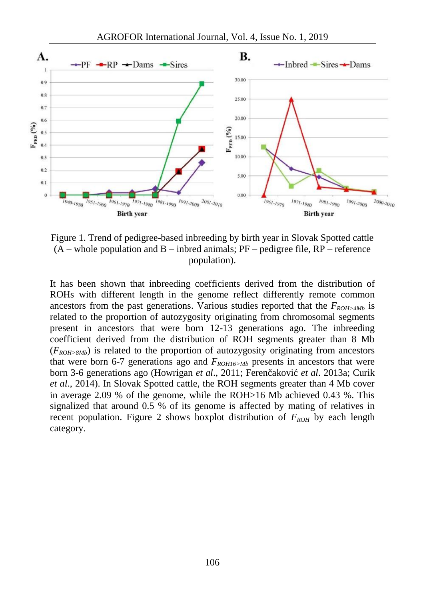

Figure 1. Trend of pedigree-based inbreeding by birth year in Slovak Spotted cattle  $(A - whole$  population and  $B - inbred$  animals;  $PF -$  pedigree file,  $RP -$  reference population).

It has been shown that inbreeding coefficients derived from the distribution of ROHs with different length in the genome reflect differently remote common ancestors from the past generations. Various studies reported that the  $F_{ROH>4Mb}$  is related to the proportion of autozygosity originating from chromosomal segments present in ancestors that were born 12-13 generations ago. The inbreeding coefficient derived from the distribution of ROH segments greater than 8 Mb (*FROH>8Mb*) is related to the proportion of autozygosity originating from ancestors that were born 6-7 generations ago and *FROH16>Mb* presents in ancestors that were born 3-6 generations ago (Howrigan *et al.*, 2011; Feren akovi *et al.* 2013a; Curik *et al*., 2014). In Slovak Spotted cattle, the ROH segments greater than 4 Mb cover in average 2.09 % of the genome, while the ROH>16 Mb achieved 0.43 %. This signalized that around 0.5 % of its genome is affected by mating of relatives in recent population. Figure 2 shows boxplot distribution of  $F_{ROH}$  by each length category.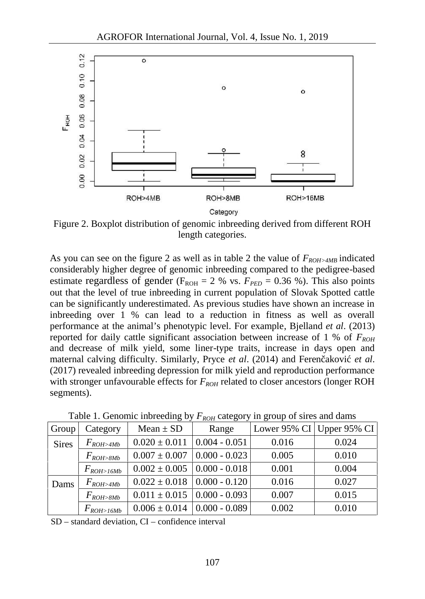

Figure 2. Boxplot distribution of genomic inbreeding derived from different ROH length categories.

As you can see on the figure 2 as well as in table 2 the value of  $F_{ROH>4MB}$  indicated considerably higher degree of genomic inbreeding compared to the pedigree-based estimate regardless of gender ( $F_{ROH} = 2$  % vs.  $F_{PED} = 0.36$  %). This also points out that the level of true inbreeding in current population of Slovak Spotted cattle can be significantly underestimated. As previous studies have shown an increase in inbreeding over 1 % can lead to a reduction in fitness as well as overall performance at the animal's phenotypic level. For example, Bjelland *et al*. (2013) reported for daily cattle significant association between increase of 1 % of *FROH* and decrease of milk yield, some liner-type traits, increase in days open and maternal calving difficulty. Similarly, Pryce *et al.* (2014) and Feren akovi *et al.* (2017) revealed inbreeding depression for milk yield and reproduction performance with stronger unfavourable effects for  $F_{ROH}$  related to closer ancestors (longer ROH segments).

| Group        | Category         | $Mean \pm SD$     | Range           | Lower 95% CI Upper 95% CI |       |
|--------------|------------------|-------------------|-----------------|---------------------------|-------|
| <b>Sires</b> | $F_{ROH>4Mb}$    | $0.020 \pm 0.011$ | $0.004 - 0.051$ | 0.016                     | 0.024 |
|              | $F_{ROH>8Mb}$    | $0.007 \pm 0.007$ | $0.000 - 0.023$ | 0.005                     | 0.010 |
|              | $F_{ROH > 16Mb}$ | $0.002 \pm 0.005$ | $0.000 - 0.018$ | 0.001                     | 0.004 |
| Dams         | $F_{ROH>4Mb}$    | $0.022 \pm 0.018$ | $0.000 - 0.120$ | 0.016                     | 0.027 |
|              | $F_{ROH>8Mb}$    | $0.011 \pm 0.015$ | $0.000 - 0.093$ | 0.007                     | 0.015 |
|              | $F_{ROH>16Mb}$   | $0.006 \pm 0.014$ | $0.000 - 0.089$ | 0.002                     | 0.010 |

Table 1. Genomic inbreeding by  $F_{ROH}$  category in group of sires and dams

SD – standard deviation, CI – confidence interval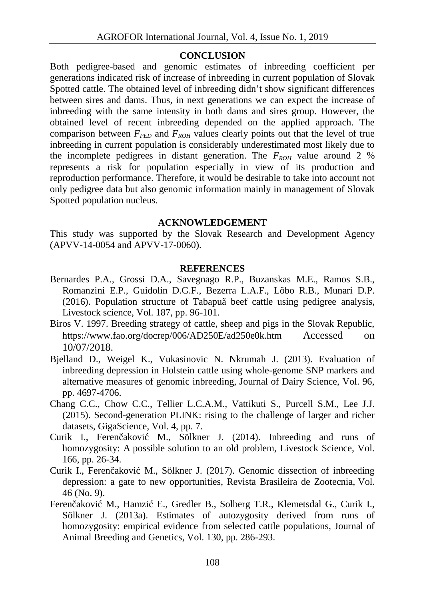#### **CONCLUSION**

Both pedigree-based and genomic estimates of inbreeding coefficient per generations indicated risk of increase of inbreeding in current population of Slovak Spotted cattle. The obtained level of inbreeding didn't show significant differences between sires and dams. Thus, in next generations we can expect the increase of inbreeding with the same intensity in both dams and sires group. However, the obtained level of recent inbreeding depended on the applied approach. The comparison between  $F_{\text{PFD}}$  and  $F_{\text{ROH}}$  values clearly points out that the level of true inbreeding in current population is considerably underestimated most likely due to the incomplete pedigrees in distant generation. The  $F_{ROH}$  value around 2 % represents a risk for population especially in view of its production and reproduction performance. Therefore, it would be desirable to take into account not only pedigree data but also genomic information mainly in management of Slovak Spotted population nucleus.

## **ACKNOWLEDGEMENT**

This study was supported by the Slovak Research and Development Agency (APVV-14-0054 and APVV-17-0060).

#### **REFERENCES**

- Bernardes P.A., Grossi D.A., Savegnago R.P., Buzanskas M.E., Ramos S.B., Romanzini E.P., Guidolin D.G.F., Bezerra L.A.F., Lôbo R.B., Munari D.P. (2016). Population structure of Tabapuã beef cattle using pedigree analysis, Livestock science, Vol. 187, pp. 96-101.
- Biros V. 1997. Breeding strategy of cattle, sheep and pigs in the Slovak Republic, https://www.fao.org/docrep/006/AD250E/ad250e0k.htm Accessed on 10/07/2018.
- Bjelland D., Weigel K., Vukasinovic N. Nkrumah J. (2013). Evaluation of inbreeding depression in Holstein cattle using whole-genome SNP markers and alternative measures of genomic inbreeding, Journal of Dairy Science, Vol. 96, pp. 4697-4706.
- Chang C.C., Chow C.C., Tellier L.C.A.M., Vattikuti S., Purcell S.M., Lee J.J. (2015). Second-generation PLINK: rising to the challenge of larger and richer datasets, GigaScience, Vol. 4, pp. 7.
- Curik I., Feren akovi M., Sölkner J. (2014). Inbreeding and runs of homozygosity: A possible solution to an old problem, Livestock Science, Vol. 166, pp. 26-34.
- Curik I., Feren akovi M., Sölkner J. (2017). Genomic dissection of inbreeding depression: a gate to new opportunities, Revista Brasileira de Zootecnia, Vol. 46 (No. 9).
- Feren akovi M., Hamzi E., Gredler B., Solberg T.R., Klemetsdal G., Curik I., Sölkner J. (2013a). Estimates of autozygosity derived from runs of homozygosity: empirical evidence from selected cattle populations, Journal of Animal Breeding and Genetics, Vol. 130, pp. 286-293.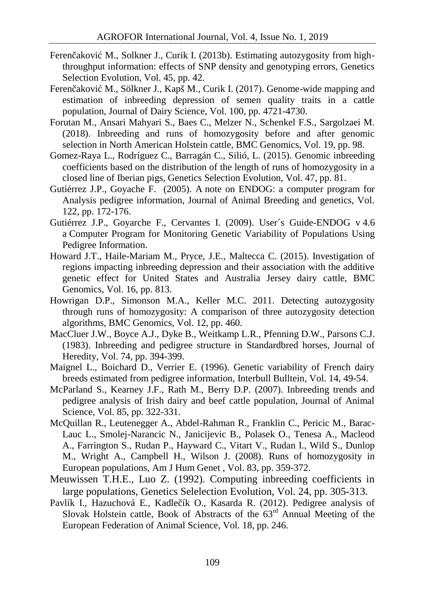- Feren akovi M., Solkner J., Curik I. (2013b). Estimating autozygosity from highthroughput information: effects of SNP density and genotyping errors, Genetics Selection Evolution, Vol. 45, pp. 42.
- Feren akovi M., Sölkner J., Kapš M., Curik I. (2017). Genome-wide mapping and estimation of inbreeding depression of semen quality traits in a cattle population, Journal of Dairy Science, Vol. 100, pp. 4721-4730.
- Forutan M., Ansari Mahyari S., Baes C., Melzer N., Schenkel F.S., Sargolzaei M. (2018). Inbreeding and runs of homozygosity before and after genomic selection in North American Holstein cattle, BMC Genomics, Vol. 19, pp. 98.
- Gomez-Raya L., Rodríguez C., Barragán C., Silió, L. (2015). Genomic inbreeding coefficients based on the distribution of the length of runs of homozygosity in a closed line of Iberian pigs, Genetics Selection Evolution, Vol. 47, pp. 81.
- Gutiérrez J.P., Goyache F. (2005). A note on ENDOG: a computer program for Analysis pedigree information, Journal of Animal Breeding and genetics, Vol. 122, pp. 172-176.
- Gutiérrez J.P., Goyarche F., Cervantes I. (2009). User´s Guide-ENDOG v 4.6 a Computer Program for Monitoring Genetic Variability of Populations Using Pedigree Information.
- Howard J.T., Haile-Mariam M., Pryce, J.E., Maltecca C. (2015). Investigation of regions impacting inbreeding depression and their association with the additive genetic effect for United States and Australia Jersey dairy cattle, BMC Genomics, Vol. 16, pp. 813.
- Howrigan D.P., Simonson M.A., Keller M.C. 2011. Detecting autozygosity through runs of homozygosity: A comparison of three autozygosity detection algorithms, BMC Genomics, Vol. 12, pp. 460.
- MacCluer J.W., Boyce A.J., Dyke B., Weitkamp L.R., Pfenning D.W., Parsons C.J. (1983). Inbreeding and pedigree structure in Standardbred horses, Journal of Heredity, Vol. 74, pp. 394-399.
- Maignel L., Boichard D., Verrier E. (1996). Genetic variability of French dairy breeds estimated from pedigree information, Interbull Bulltein*,* Vol. 14, 49-54.
- McParland S., Kearney J.F., Rath M., Berry D.P. (2007). Inbreeding trends and pedigree analysis of Irish dairy and beef cattle population, Journal of Animal Science*,* Vol. 85, pp. 322-331.
- McQuillan R., Leutenegger A., Abdel-Rahman R., Franklin C., Pericic M., Barac- Lauc L., Smolej-Narancic N., Janicijevic B., Polasek O., Tenesa A., Macleod A., Farrington S., Rudan P., Hayward C., Vitart V., Rudan I., Wild S., Dunlop M., Wright A., Campbell H., Wilson J. (2008). Runs of homozygosity in European populations, Am J Hum Genet , Vol. 83, pp. 359-372.
- Meuwissen T.H.E., Luo Z. (1992). Computing inbreeding coefficients in large populations, Genetics Selelection Evolution, Vol. 24, pp. 305-313.
- Pavlík I., Hazuchová E., Kadle ík O., Kasarda R. (2012). Pedigree analysis of Slovak Holstein cattle, Book of Abstracts of the  $63<sup>rd</sup>$  Annual Meeting of the European Federation of Animal Science*,* Vol. 18, pp. 246.